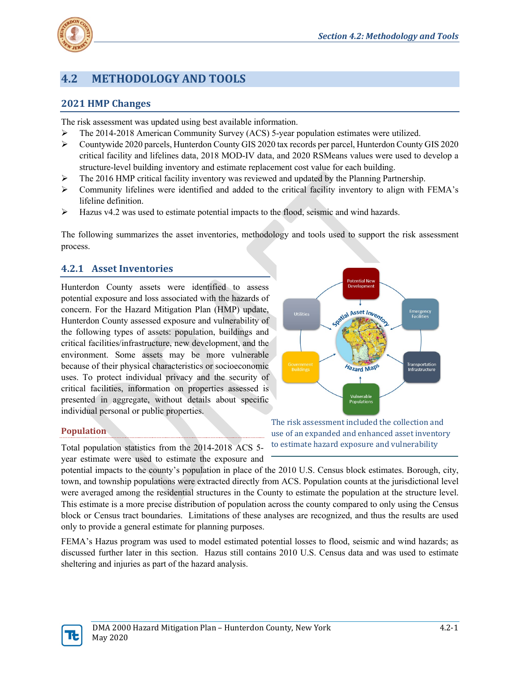

# **4.2 METHODOLOGY AND TOOLS**

# **2021 HMP Changes**

The risk assessment was updated using best available information.

- $\triangleright$  The 2014-2018 American Community Survey (ACS) 5-year population estimates were utilized.
- Countywide 2020 parcels, Hunterdon County GIS 2020 tax records per parcel, Hunterdon County GIS 2020 critical facility and lifelines data, 2018 MOD-IV data, and 2020 RSMeans values were used to develop a structure-level building inventory and estimate replacement cost value for each building.
- $\triangleright$  The 2016 HMP critical facility inventory was reviewed and updated by the Planning Partnership.
- $\triangleright$  Community lifelines were identified and added to the critical facility inventory to align with FEMA's lifeline definition.
- $\triangleright$  Hazus v4.2 was used to estimate potential impacts to the flood, seismic and wind hazards.

The following summarizes the asset inventories, methodology and tools used to support the risk assessment process.

# **4.2.1 Asset Inventories**

Hunterdon County assets were identified to assess potential exposure and loss associated with the hazards of concern. For the Hazard Mitigation Plan (HMP) update, Hunterdon County assessed exposure and vulnerability of the following types of assets: population, buildings and critical facilities/infrastructure, new development, and the environment. Some assets may be more vulnerable because of their physical characteristics or socioeconomic uses. To protect individual privacy and the security of critical facilities, information on properties assessed is presented in aggregate, without details about specific individual personal or public properties.



# **Population**

Total population statistics from the 2014-2018 ACS 5 year estimate were used to estimate the exposure and

The risk assessment included the collection and use of an expanded and enhanced asset inventory to estimate hazard exposure and vulnerability

potential impacts to the county's population in place of the 2010 U.S. Census block estimates. Borough, city, town, and township populations were extracted directly from ACS. Population counts at the jurisdictional level were averaged among the residential structures in the County to estimate the population at the structure level. This estimate is a more precise distribution of population across the county compared to only using the Census block or Census tract boundaries. Limitations of these analyses are recognized, and thus the results are used only to provide a general estimate for planning purposes.

FEMA's Hazus program was used to model estimated potential losses to flood, seismic and wind hazards; as discussed further later in this section. Hazus still contains 2010 U.S. Census data and was used to estimate sheltering and injuries as part of the hazard analysis.

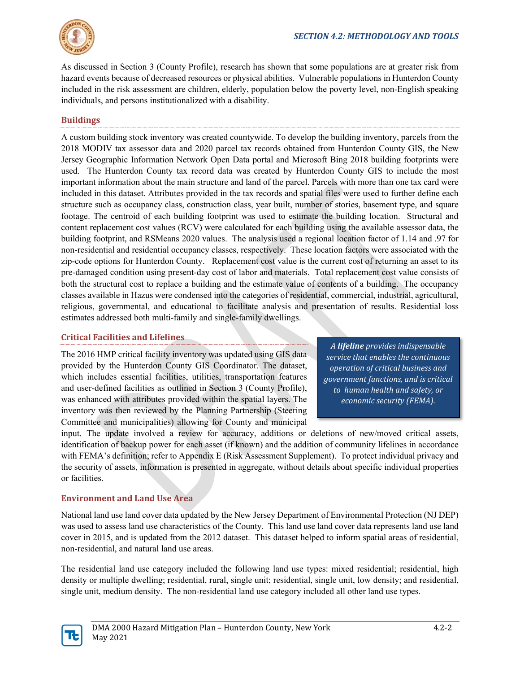

As discussed in Section 3 (County Profile), research has shown that some populations are at greater risk from hazard events because of decreased resources or physical abilities. Vulnerable populations in Hunterdon County included in the risk assessment are children, elderly, population below the poverty level, non-English speaking individuals, and persons institutionalized with a disability.

# **Buildings**

A custom building stock inventory was created countywide. To develop the building inventory, parcels from the 2018 MODIV tax assessor data and 2020 parcel tax records obtained from Hunterdon County GIS, the New Jersey Geographic Information Network Open Data portal and Microsoft Bing 2018 building footprints were used. The Hunterdon County tax record data was created by Hunterdon County GIS to include the most important information about the main structure and land of the parcel. Parcels with more than one tax card were included in this dataset. Attributes provided in the tax records and spatial files were used to further define each structure such as occupancy class, construction class, year built, number of stories, basement type, and square footage. The centroid of each building footprint was used to estimate the building location. Structural and content replacement cost values (RCV) were calculated for each building using the available assessor data, the building footprint, and RSMeans 2020 values. The analysis used a regional location factor of 1.14 and .97 for non-residential and residential occupancy classes, respectively. These location factors were associated with the zip-code options for Hunterdon County. Replacement cost value is the current cost of returning an asset to its pre-damaged condition using present-day cost of labor and materials. Total replacement cost value consists of both the structural cost to replace a building and the estimate value of contents of a building. The occupancy classes available in Hazus were condensed into the categories of residential, commercial, industrial, agricultural, religious, governmental, and educational to facilitate analysis and presentation of results. Residential loss estimates addressed both multi-family and single-family dwellings.

# **Critical Facilities and Lifelines**

The 2016 HMP critical facility inventory was updated using GIS data provided by the Hunterdon County GIS Coordinator. The dataset, which includes essential facilities, utilities, transportation features and user-defined facilities as outlined in Section 3 (County Profile), was enhanced with attributes provided within the spatial layers. The inventory was then reviewed by the Planning Partnership (Steering Committee and municipalities) allowing for County and municipal

*A lifeline provides indispensable service that enables the continuous operation of critical business and government functions, and is critical to human health and safety, or economic security (FEMA).*

input. The update involved a review for accuracy, additions or deletions of new/moved critical assets, identification of backup power for each asset (if known) and the addition of community lifelines in accordance with FEMA's definition; refer to Appendix E (Risk Assessment Supplement). To protect individual privacy and the security of assets, information is presented in aggregate, without details about specific individual properties or facilities.

# **Environment and Land Use Area**

National land use land cover data updated by the New Jersey Department of Environmental Protection (NJ DEP) was used to assess land use characteristics of the County. This land use land cover data represents land use land cover in 2015, and is updated from the 2012 dataset. This dataset helped to inform spatial areas of residential, non-residential, and natural land use areas.

The residential land use category included the following land use types: mixed residential; residential, high density or multiple dwelling; residential, rural, single unit; residential, single unit, low density; and residential, single unit, medium density. The non-residential land use category included all other land use types.

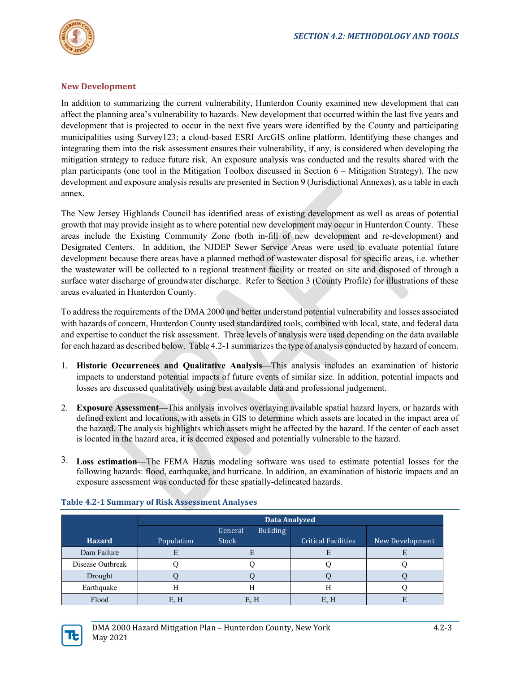

# **New Development**

In addition to summarizing the current vulnerability, Hunterdon County examined new development that can affect the planning area's vulnerability to hazards. New development that occurred within the last five years and development that is projected to occur in the next five years were identified by the County and participating municipalities using Survey123; a cloud-based ESRI ArcGIS online platform. Identifying these changes and integrating them into the risk assessment ensures their vulnerability, if any, is considered when developing the mitigation strategy to reduce future risk. An exposure analysis was conducted and the results shared with the plan participants (one tool in the Mitigation Toolbox discussed in Section 6 – Mitigation Strategy). The new development and exposure analysis results are presented in Section 9 (Jurisdictional Annexes), as a table in each annex.

The New Jersey Highlands Council has identified areas of existing development as well as areas of potential growth that may provide insight as to where potential new development may occur in Hunterdon County. These areas include the Existing Community Zone (both in-fill of new development and re-development) and Designated Centers. In addition, the NJDEP Sewer Service Areas were used to evaluate potential future development because there areas have a planned method of wastewater disposal for specific areas, i.e. whether the wastewater will be collected to a regional treatment facility or treated on site and disposed of through a surface water discharge of groundwater discharge. Refer to Section 3 (County Profile) for illustrations of these areas evaluated in Hunterdon County.

To address the requirements of the DMA 2000 and better understand potential vulnerability and losses associated with hazards of concern, Hunterdon County used standardized tools, combined with local, state, and federal data and expertise to conduct the risk assessment. Three levels of analysis were used depending on the data available for each hazard as described below. Table 4.2-1 summarizes the type of analysis conducted by hazard of concern.

- 1. **Historic Occurrences and Qualitative Analysis**—This analysis includes an examination of historic impacts to understand potential impacts of future events of similar size. In addition, potential impacts and losses are discussed qualitatively using best available data and professional judgement.
- 2. **Exposure Assessment**—This analysis involves overlaying available spatial hazard layers, or hazards with defined extent and locations, with assets in GIS to determine which assets are located in the impact area of the hazard. The analysis highlights which assets might be affected by the hazard. If the center of each asset is located in the hazard area, it is deemed exposed and potentially vulnerable to the hazard.
- 3. **Loss estimation**—The FEMA Hazus modeling software was used to estimate potential losses for the following hazards: flood, earthquake, and hurricane. In addition, an examination of historic impacts and an exposure assessment was conducted for these spatially-delineated hazards.

|                  | Data Analyzed |                            |                            |                 |
|------------------|---------------|----------------------------|----------------------------|-----------------|
|                  |               | <b>Building</b><br>General |                            |                 |
| <b>Hazard</b>    | Population    | <b>Stock</b>               | <b>Critical Facilities</b> | New Development |
| Dam Failure      |               | E                          |                            |                 |
| Disease Outbreak |               |                            |                            |                 |
| Drought          |               |                            |                            |                 |
| Earthquake       |               | Н                          |                            |                 |
| Flood            | E.H           | E, H                       | E, H                       |                 |

### **Table 4.2-1 Summary of Risk Assessment Analyses**

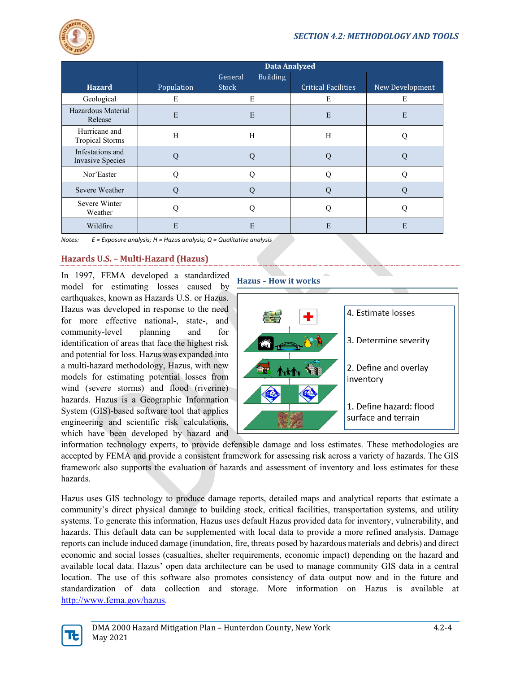

|                                             | <b>Data Analyzed</b> |                            |                            |                 |
|---------------------------------------------|----------------------|----------------------------|----------------------------|-----------------|
|                                             |                      | General<br><b>Building</b> |                            |                 |
| <b>Hazard</b>                               | Population           | <b>Stock</b>               | <b>Critical Facilities</b> | New Development |
| Geological                                  | E                    | E                          | E                          | E               |
| Hazardous Material<br>Release               | E                    | E                          | E                          | E               |
| Hurricane and<br><b>Tropical Storms</b>     | H                    | H                          | H                          |                 |
| Infestations and<br><b>Invasive Species</b> | O                    | О                          |                            |                 |
| Nor'Easter                                  |                      | റ                          |                            |                 |
| Severe Weather                              | O                    | Q                          |                            |                 |
| Severe Winter<br>Weather                    | O                    | Ω                          |                            |                 |
| Wildfire                                    | E                    | E                          | E                          | E               |

*Notes: E = Exposure analysis; H = Hazus analysis; Q = Qualitative analysis*

### **Hazards U.S. – Multi-Hazard (Hazus)**

In 1997, FEMA developed a standardized model for estimating losses caused by earthquakes, known as Hazards U.S. or Hazus. Hazus was developed in response to the need for more effective national-, state-, and community-level planning and for identification of areas that face the highest risk and potential for loss. Hazus was expanded into a multi-hazard methodology, Hazus, with new models for estimating potential losses from wind (severe storms) and flood (riverine) hazards. Hazus is a Geographic Information System (GIS)-based software tool that applies engineering and scientific risk calculations, which have been developed by hazard and



information technology experts, to provide defensible damage and loss estimates. These methodologies are accepted by FEMA and provide a consistent framework for assessing risk across a variety of hazards. The GIS framework also supports the evaluation of hazards and assessment of inventory and loss estimates for these hazards.

Hazus uses GIS technology to produce damage reports, detailed maps and analytical reports that estimate a community's direct physical damage to building stock, critical facilities, transportation systems, and utility systems. To generate this information, Hazus uses default Hazus provided data for inventory, vulnerability, and hazards. This default data can be supplemented with local data to provide a more refined analysis. Damage reports can include induced damage (inundation, fire, threats posed by hazardous materials and debris) and direct economic and social losses (casualties, shelter requirements, economic impact) depending on the hazard and available local data. Hazus' open data architecture can be used to manage community GIS data in a central location. The use of this software also promotes consistency of data output now and in the future and standardization of data collection and storage. More information on Hazus is available at [http://www.fema.gov/hazus.](http://www.fema.gov/hazus)

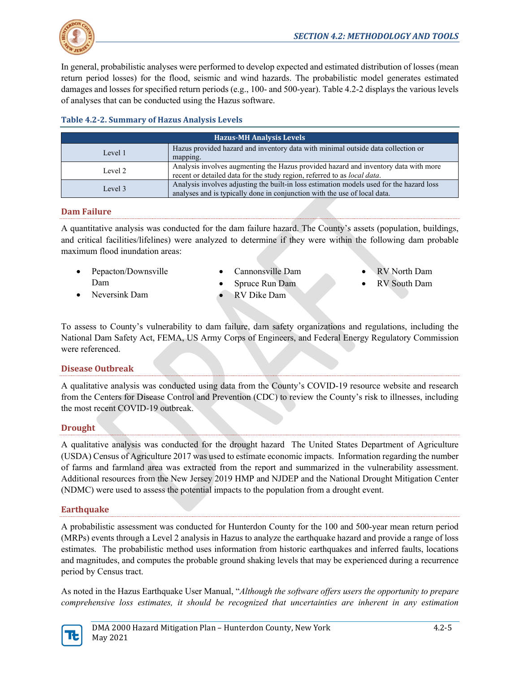

In general, probabilistic analyses were performed to develop expected and estimated distribution of losses (mean return period losses) for the flood, seismic and wind hazards. The probabilistic model generates estimated damages and losses for specified return periods (e.g., 100- and 500-year). Table 4.2-2 displays the various levels of analyses that can be conducted using the Hazus software.

### **Table 4.2-2. Summary of Hazus Analysis Levels**

| <b>Hazus-MH Analysis Levels</b> |                                                                                                                                                                       |  |  |  |
|---------------------------------|-----------------------------------------------------------------------------------------------------------------------------------------------------------------------|--|--|--|
| Level 1                         | Hazus provided hazard and inventory data with minimal outside data collection or<br>mapping.                                                                          |  |  |  |
| Level 2                         | Analysis involves augmenting the Hazus provided hazard and inventory data with more<br>recent or detailed data for the study region, referred to as local data.       |  |  |  |
| Level 3                         | Analysis involves adjusting the built-in loss estimation models used for the hazard loss<br>analyses and is typically done in conjunction with the use of local data. |  |  |  |

### **Dam Failure**

A quantitative analysis was conducted for the dam failure hazard. The County's assets (population, buildings, and critical facilities/lifelines) were analyzed to determine if they were within the following dam probable maximum flood inundation areas:

- Pepacton/Downsville Dam
- Cannonsville Dam
- Spruce Run Dam
- RV Dike Dam
- RV North Dam
- RV South Dam

• Neversink Dam

To assess to County's vulnerability to dam failure, dam safety organizations and regulations, including the National Dam Safety Act, FEMA, US Army Corps of Engineers, and Federal Energy Regulatory Commission were referenced.

# **Disease Outbreak**

A qualitative analysis was conducted using data from the County's COVID-19 resource website and research from the Centers for Disease Control and Prevention (CDC) to review the County's risk to illnesses, including the most recent COVID-19 outbreak.

# **Drought**

A qualitative analysis was conducted for the drought hazard The United States Department of Agriculture (USDA) Census of Agriculture 2017 was used to estimate economic impacts. Information regarding the number of farms and farmland area was extracted from the report and summarized in the vulnerability assessment. Additional resources from the New Jersey 2019 HMP and NJDEP and the National Drought Mitigation Center (NDMC) were used to assess the potential impacts to the population from a drought event.

# **Earthquake**

A probabilistic assessment was conducted for Hunterdon County for the 100 and 500-year mean return period (MRPs) events through a Level 2 analysis in Hazus to analyze the earthquake hazard and provide a range of loss estimates. The probabilistic method uses information from historic earthquakes and inferred faults, locations and magnitudes, and computes the probable ground shaking levels that may be experienced during a recurrence period by Census tract.

As noted in the Hazus Earthquake User Manual, "*Although the software offers users the opportunity to prepare comprehensive loss estimates, it should be recognized that uncertainties are inherent in any estimation* 

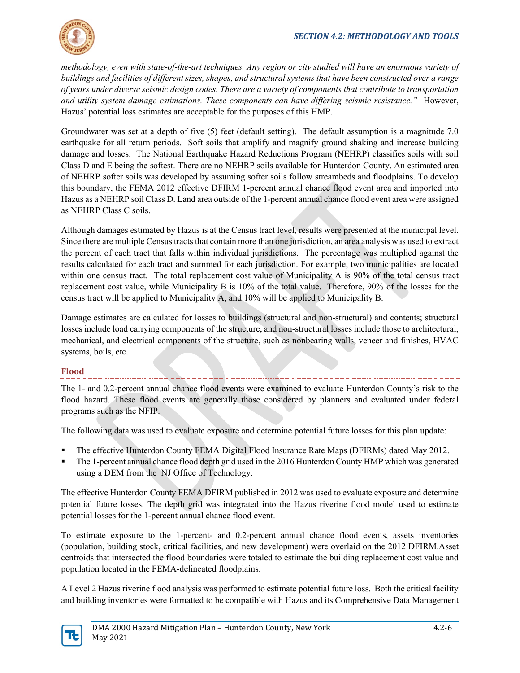

*methodology, even with state-of-the-art techniques. Any region or city studied will have an enormous variety of buildings and facilities of different sizes, shapes, and structural systems that have been constructed over a range of years under diverse seismic design codes. There are a variety of components that contribute to transportation and utility system damage estimations. These components can have differing seismic resistance."* However, Hazus' potential loss estimates are acceptable for the purposes of this HMP.

Groundwater was set at a depth of five (5) feet (default setting). The default assumption is a magnitude 7.0 earthquake for all return periods. Soft soils that amplify and magnify ground shaking and increase building damage and losses. The National Earthquake Hazard Reductions Program (NEHRP) classifies soils with soil Class D and E being the softest. There are no NEHRP soils available for Hunterdon County. An estimated area of NEHRP softer soils was developed by assuming softer soils follow streambeds and floodplains. To develop this boundary, the FEMA 2012 effective DFIRM 1-percent annual chance flood event area and imported into Hazus as a NEHRP soil Class D. Land area outside of the 1-percent annual chance flood event area were assigned as NEHRP Class C soils.

Although damages estimated by Hazus is at the Census tract level, results were presented at the municipal level. Since there are multiple Census tracts that contain more than one jurisdiction, an area analysis was used to extract the percent of each tract that falls within individual jurisdictions. The percentage was multiplied against the results calculated for each tract and summed for each jurisdiction. For example, two municipalities are located within one census tract. The total replacement cost value of Municipality A is 90% of the total census tract replacement cost value, while Municipality B is 10% of the total value. Therefore, 90% of the losses for the census tract will be applied to Municipality A, and 10% will be applied to Municipality B.

Damage estimates are calculated for losses to buildings (structural and non-structural) and contents; structural losses include load carrying components of the structure, and non-structural losses include those to architectural, mechanical, and electrical components of the structure, such as nonbearing walls, veneer and finishes, HVAC systems, boils, etc.

# **Flood**

The 1- and 0.2-percent annual chance flood events were examined to evaluate Hunterdon County's risk to the flood hazard. These flood events are generally those considered by planners and evaluated under federal programs such as the NFIP.

The following data was used to evaluate exposure and determine potential future losses for this plan update:

- The effective Hunterdon County FEMA Digital Flood Insurance Rate Maps (DFIRMs) dated May 2012.
- The 1-percent annual chance flood depth grid used in the 2016 Hunterdon County HMP which was generated using a DEM from the NJ Office of Technology.

The effective Hunterdon County FEMA DFIRM published in 2012 was used to evaluate exposure and determine potential future losses. The depth grid was integrated into the Hazus riverine flood model used to estimate potential losses for the 1-percent annual chance flood event.

To estimate exposure to the 1-percent- and 0.2-percent annual chance flood events, assets inventories (population, building stock, critical facilities, and new development) were overlaid on the 2012 DFIRM.Asset centroids that intersected the flood boundaries were totaled to estimate the building replacement cost value and population located in the FEMA-delineated floodplains.

A Level 2 Hazus riverine flood analysis was performed to estimate potential future loss. Both the critical facility and building inventories were formatted to be compatible with Hazus and its Comprehensive Data Management

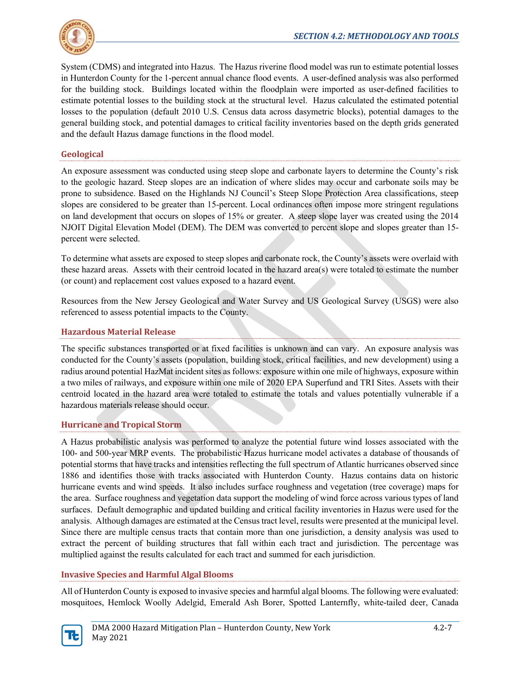

System (CDMS) and integrated into Hazus. The Hazus riverine flood model was run to estimate potential losses in Hunterdon County for the 1-percent annual chance flood events. A user-defined analysis was also performed for the building stock. Buildings located within the floodplain were imported as user-defined facilities to estimate potential losses to the building stock at the structural level. Hazus calculated the estimated potential losses to the population (default 2010 U.S. Census data across dasymetric blocks), potential damages to the general building stock, and potential damages to critical facility inventories based on the depth grids generated and the default Hazus damage functions in the flood model.

# **Geological**

An exposure assessment was conducted using steep slope and carbonate layers to determine the County's risk to the geologic hazard. Steep slopes are an indication of where slides may occur and carbonate soils may be prone to subsidence. Based on the Highlands NJ Council's Steep Slope Protection Area classifications, steep slopes are considered to be greater than 15-percent. Local ordinances often impose more stringent regulations on land development that occurs on slopes of 15% or greater. A steep slope layer was created using the 2014 NJOIT Digital Elevation Model (DEM). The DEM was converted to percent slope and slopes greater than 15 percent were selected.

To determine what assets are exposed to steep slopes and carbonate rock, the County's assets were overlaid with these hazard areas. Assets with their centroid located in the hazard area(s) were totaled to estimate the number (or count) and replacement cost values exposed to a hazard event.

Resources from the New Jersey Geological and Water Survey and US Geological Survey (USGS) were also referenced to assess potential impacts to the County.

### **Hazardous Material Release**

The specific substances transported or at fixed facilities is unknown and can vary. An exposure analysis was conducted for the County's assets (population, building stock, critical facilities, and new development) using a radius around potential HazMat incident sites as follows: exposure within one mile of highways, exposure within a two miles of railways, and exposure within one mile of 2020 EPA Superfund and TRI Sites. Assets with their centroid located in the hazard area were totaled to estimate the totals and values potentially vulnerable if a hazardous materials release should occur.

### **Hurricane and Tropical Storm**

A Hazus probabilistic analysis was performed to analyze the potential future wind losses associated with the 100- and 500-year MRP events. The probabilistic Hazus hurricane model activates a database of thousands of potential storms that have tracks and intensities reflecting the full spectrum of Atlantic hurricanes observed since 1886 and identifies those with tracks associated with Hunterdon County. Hazus contains data on historic hurricane events and wind speeds. It also includes surface roughness and vegetation (tree coverage) maps for the area. Surface roughness and vegetation data support the modeling of wind force across various types of land surfaces. Default demographic and updated building and critical facility inventories in Hazus were used for the analysis. Although damages are estimated at the Census tract level, results were presented at the municipal level. Since there are multiple census tracts that contain more than one jurisdiction, a density analysis was used to extract the percent of building structures that fall within each tract and jurisdiction. The percentage was multiplied against the results calculated for each tract and summed for each jurisdiction.

### **Invasive Species and Harmful Algal Blooms**

All of Hunterdon County is exposed to invasive species and harmful algal blooms. The following were evaluated: mosquitoes, Hemlock Woolly Adelgid, Emerald Ash Borer, Spotted Lanternfly, white-tailed deer, Canada

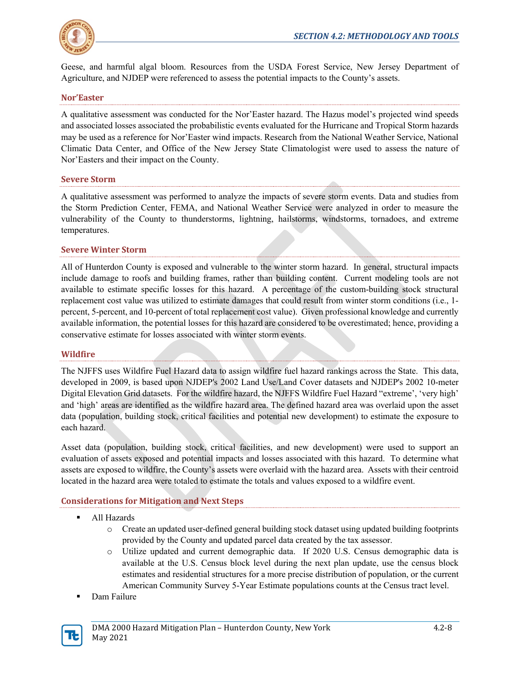

Geese, and harmful algal bloom. Resources from the USDA Forest Service, New Jersey Department of Agriculture, and NJDEP were referenced to assess the potential impacts to the County's assets.

### **Nor'Easter**

A qualitative assessment was conducted for the Nor'Easter hazard. The Hazus model's projected wind speeds and associated losses associated the probabilistic events evaluated for the Hurricane and Tropical Storm hazards may be used as a reference for Nor'Easter wind impacts. Research from the National Weather Service, National Climatic Data Center, and Office of the New Jersey State Climatologist were used to assess the nature of Nor'Easters and their impact on the County.

### **Severe Storm**

A qualitative assessment was performed to analyze the impacts of severe storm events. Data and studies from the Storm Prediction Center, FEMA, and National Weather Service were analyzed in order to measure the vulnerability of the County to thunderstorms, lightning, hailstorms, windstorms, tornadoes, and extreme temperatures.

### **Severe Winter Storm**

All of Hunterdon County is exposed and vulnerable to the winter storm hazard. In general, structural impacts include damage to roofs and building frames, rather than building content. Current modeling tools are not available to estimate specific losses for this hazard. A percentage of the custom-building stock structural replacement cost value was utilized to estimate damages that could result from winter storm conditions (i.e., 1 percent, 5-percent, and 10-percent of total replacement cost value). Given professional knowledge and currently available information, the potential losses for this hazard are considered to be overestimated; hence, providing a conservative estimate for losses associated with winter storm events.

### **Wildfire**

The NJFFS uses Wildfire Fuel Hazard data to assign wildfire fuel hazard rankings across the State. This data, developed in 2009, is based upon NJDEP's 2002 Land Use/Land Cover datasets and NJDEP's 2002 10-meter Digital Elevation Grid datasets. For the wildfire hazard, the NJFFS Wildfire Fuel Hazard "extreme', 'very high' and 'high' areas are identified as the wildfire hazard area. The defined hazard area was overlaid upon the asset data (population, building stock, critical facilities and potential new development) to estimate the exposure to each hazard.

Asset data (population, building stock, critical facilities, and new development) were used to support an evaluation of assets exposed and potential impacts and losses associated with this hazard. To determine what assets are exposed to wildfire, the County's assets were overlaid with the hazard area. Assets with their centroid located in the hazard area were totaled to estimate the totals and values exposed to a wildfire event.

# **Considerations for Mitigation and Next Steps**

- **All Hazards** 
	- o Create an updated user-defined general building stock dataset using updated building footprints provided by the County and updated parcel data created by the tax assessor.
	- o Utilize updated and current demographic data. If 2020 U.S. Census demographic data is available at the U.S. Census block level during the next plan update, use the census block estimates and residential structures for a more precise distribution of population, or the current American Community Survey 5-Year Estimate populations counts at the Census tract level.
- Dam Failure

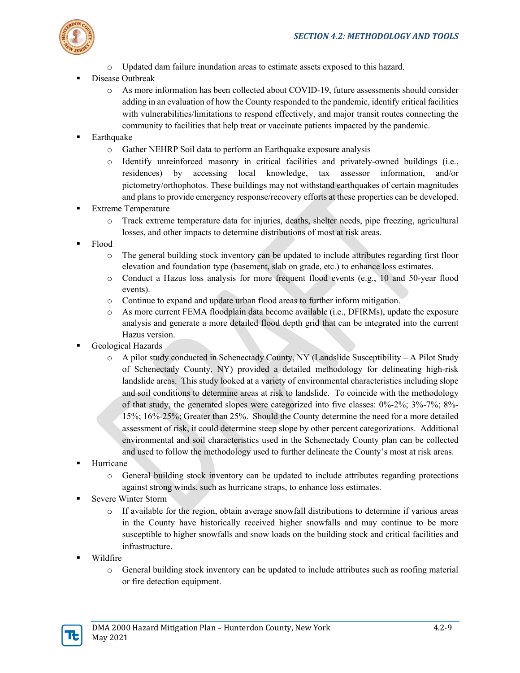

- o Updated dam failure inundation areas to estimate assets exposed to this hazard.
- Disease Outbreak
	- o As more information has been collected about COVID-19, future assessments should consider adding in an evaluation of how the County responded to the pandemic, identify critical facilities with vulnerabilities/limitations to respond effectively, and major transit routes connecting the community to facilities that help treat or vaccinate patients impacted by the pandemic.
- Earthquake
	- o Gather NEHRP Soil data to perform an Earthquake exposure analysis
	- o Identify unreinforced masonry in critical facilities and privately-owned buildings (i.e., residences) by accessing local knowledge, tax assessor information, and/or pictometry/orthophotos. These buildings may not withstand earthquakes of certain magnitudes and plans to provide emergency response/recovery efforts at these properties can be developed.
- Extreme Temperature
	- o Track extreme temperature data for injuries, deaths, shelter needs, pipe freezing, agricultural losses, and other impacts to determine distributions of most at risk areas.
- Flood
	- o The general building stock inventory can be updated to include attributes regarding first floor elevation and foundation type (basement, slab on grade, etc.) to enhance loss estimates.
	- o Conduct a Hazus loss analysis for more frequent flood events (e.g., 10 and 50-year flood events).
	- o Continue to expand and update urban flood areas to further inform mitigation.
	- o As more current FEMA floodplain data become available (i.e., DFIRMs), update the exposure analysis and generate a more detailed flood depth grid that can be integrated into the current Hazus version.
- Geological Hazards
	- o A pilot study conducted in Schenectady County, NY (Landslide Susceptibility A Pilot Study of Schenectady County, NY) provided a detailed methodology for delineating high-risk landslide areas. This study looked at a variety of environmental characteristics including slope and soil conditions to determine areas at risk to landslide. To coincide with the methodology of that study, the generated slopes were categorized into five classes: 0%-2%; 3%-7%; 8%- 15%; 16%-25%; Greater than 25%. Should the County determine the need for a more detailed assessment of risk, it could determine steep slope by other percent categorizations. Additional environmental and soil characteristics used in the Schenectady County plan can be collected and used to follow the methodology used to further delineate the County's most at risk areas.
- Hurricane
	- o General building stock inventory can be updated to include attributes regarding protections against strong winds, such as hurricane straps, to enhance loss estimates.
- Severe Winter Storm
	- o If available for the region, obtain average snowfall distributions to determine if various areas in the County have historically received higher snowfalls and may continue to be more susceptible to higher snowfalls and snow loads on the building stock and critical facilities and infrastructure.
- Wildfire
	- o General building stock inventory can be updated to include attributes such as roofing material or fire detection equipment.

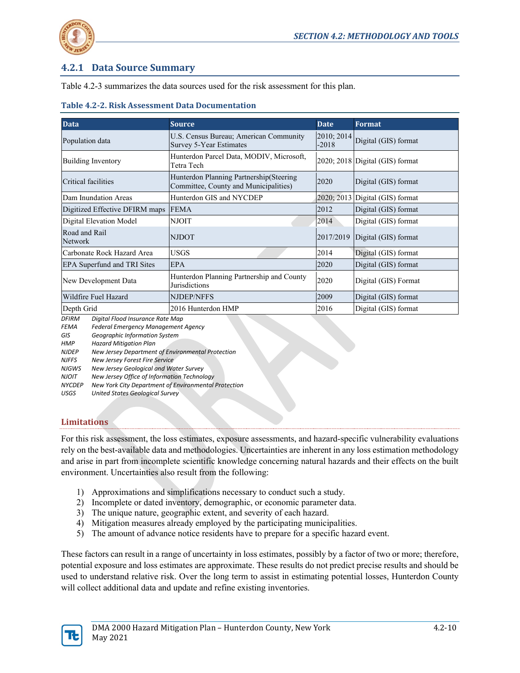

# **4.2.1 Data Source Summary**

Table 4.2-3 summarizes the data sources used for the risk assessment for this plan.

### **Table 4.2-2. Risk Assessment Data Documentation**

| <b>Data</b>                        | <b>Source</b>                                                                     | <b>Date</b>           | Format                               |
|------------------------------------|-----------------------------------------------------------------------------------|-----------------------|--------------------------------------|
| Population data                    | U.S. Census Bureau; American Community<br>Survey 5-Year Estimates                 | 2010; 2014<br>$-2018$ | Digital (GIS) format                 |
| Building Inventory                 | Hunterdon Parcel Data, MODIV, Microsoft,<br>Tetra Tech                            |                       | 2020; 2018 Digital (GIS) format      |
| Critical facilities                | Hunterdon Planning Partnership (Steering<br>Committee, County and Municipalities) | 2020                  | Digital (GIS) format                 |
| Dam Inundation Areas               | Hunterdon GIS and NYCDEP                                                          |                       | $2020$ ; $2013$ Digital (GIS) format |
| Digitized Effective DFIRM maps     | <b>FEMA</b>                                                                       | 2012                  | Digital (GIS) format                 |
| Digital Elevation Model            | <b>NJOIT</b>                                                                      | 2014                  | Digital (GIS) format                 |
| Road and Rail<br><b>Network</b>    | <b>NJDOT</b>                                                                      | 2017/2019             | Digital (GIS) format                 |
| Carbonate Rock Hazard Area         | <b>USGS</b>                                                                       | 2014                  | Digital (GIS) format                 |
| <b>EPA Superfund and TRI Sites</b> | <b>EPA</b>                                                                        | 2020                  | Digital (GIS) format                 |
| New Development Data               | Hunterdon Planning Partnership and County<br>Jurisdictions                        | 2020                  | Digital (GIS) Format                 |
| Wildfire Fuel Hazard               | <b>NJDEP/NFFS</b>                                                                 | 2009                  | Digital (GIS) format                 |
| Depth Grid                         | 2016 Hunterdon HMP                                                                | 2016                  | Digital (GIS) format                 |

*DFIRM Digital Flood Insurance Rate Map*

*FEMA Federal Emergency Management Agency*

*GIS Geographic Information System* 

*HMP Hazard Mitigation Plan*

*NJDEP New Jersey Department of Environmental Protection*

*NJFFS New Jersey Forest Fire Service*

*NJGWS New Jersey Geological and Water Survey*

*NJOIT New Jersey Office of Information Technology*

*NYCDEP New York City Department of Environmental Protection*

*USGS United States Geological Survey*

# **Limitations**

For this risk assessment, the loss estimates, exposure assessments, and hazard-specific vulnerability evaluations rely on the best-available data and methodologies. Uncertainties are inherent in any loss estimation methodology and arise in part from incomplete scientific knowledge concerning natural hazards and their effects on the built environment. Uncertainties also result from the following:

- 1) Approximations and simplifications necessary to conduct such a study.
- 2) Incomplete or dated inventory, demographic, or economic parameter data.
- 3) The unique nature, geographic extent, and severity of each hazard.
- 4) Mitigation measures already employed by the participating municipalities.
- 5) The amount of advance notice residents have to prepare for a specific hazard event.

These factors can result in a range of uncertainty in loss estimates, possibly by a factor of two or more; therefore, potential exposure and loss estimates are approximate. These results do not predict precise results and should be used to understand relative risk. Over the long term to assist in estimating potential losses, Hunterdon County will collect additional data and update and refine existing inventories.